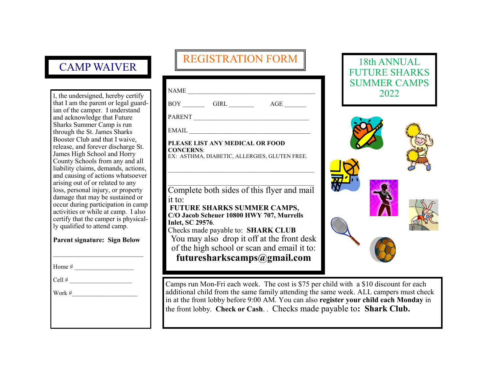### CAMP WAIVER

I, the undersigned, hereby certify that I am the parent or legal guardian of the camper. I understand and acknowledge that Future Sharks Summer Camp is run through the St. James Sharks Booster Club and that I waive, release, and forever discharge St. James High School and Horry County Schools from any and all liability claims, demands, actions, and causing of actions whatsoever arising out of or related to any loss, personal injury, or property damage that may be sustained or occur during participation in camp activities or while at camp. I also certify that the camper is physically qualified to attend camp.

#### **Parent signature: Sign Below**

Home  $#_2$ 

Cell  $#$ 

Work  $\#$ 

## REGISTRATION FORM

| NAME                                                                                                 |  |  |  |
|------------------------------------------------------------------------------------------------------|--|--|--|
| $AGE$ <sub>_________</sub>                                                                           |  |  |  |
| PARENT                                                                                               |  |  |  |
| EMAIL                                                                                                |  |  |  |
| PLEASE LIST ANY MEDICAL OR FOOD<br><b>CONCERNS:</b><br>EX: ASTHMA, DIABETIC, ALLERGIES, GLUTEN FREE. |  |  |  |
| Complete both sides of this flyer and mail                                                           |  |  |  |
| it to:                                                                                               |  |  |  |
| FUTURE SHARKS SUMMER CAMPS,                                                                          |  |  |  |
| C/O Jacob Scheuer 10800 HWY 707, Murrells<br>Inlet, SC 29576.                                        |  |  |  |
| Checks made payable to: <b>SHARK CLUB</b>                                                            |  |  |  |
| You may also drop it off at the front desk                                                           |  |  |  |
| of the high school or scan and email it to:                                                          |  |  |  |
| futuresharkscamps@gmail.com                                                                          |  |  |  |





Camps run Mon-Fri each week. The cost is \$75 per child with a \$10 discount for each additional child from the same family attending the same week. ALL campers must check in at the front lobby before 9:00 AM. You can also **register your child each Monday** in the front lobby. **Check or Cash**. . Checks made payable to**: Shark Club.**